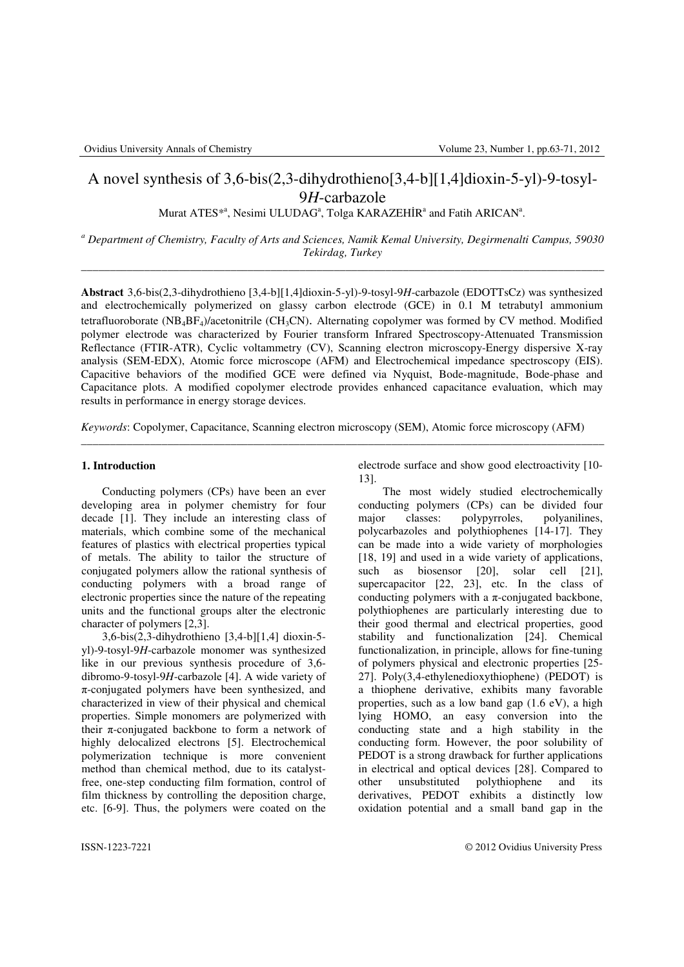# A novel synthesis of 3,6-bis(2,3-dihydrothieno[3,4-b][1,4]dioxin-5-yl)-9-tosyl-9*H*-carbazole

Murat ATES<sup>\*</sup><sup>a</sup>, Nesimi ULUDAG<sup>a</sup>, Tolga KARAZEHİR<sup>a</sup> and Fatih ARICAN<sup>a</sup>.

*a Department of Chemistry, Faculty of Arts and Sciences, Namik Kemal University, Degirmenalti Campus, 59030 Tekirdag, Turkey*  \_\_\_\_\_\_\_\_\_\_\_\_\_\_\_\_\_\_\_\_\_\_\_\_\_\_\_\_\_\_\_\_\_\_\_\_\_\_\_\_\_\_\_\_\_\_\_\_\_\_\_\_\_\_\_\_\_\_\_\_\_\_\_\_\_\_\_\_\_\_\_\_\_\_\_\_\_\_\_\_\_\_\_\_\_\_\_\_\_\_\_

**Abstract** 3,6-bis(2,3-dihydrothieno [3,4-b][1,4]dioxin-5-yl)-9-tosyl-9*H*-carbazole (EDOTTsCz) was synthesized and electrochemically polymerized on glassy carbon electrode (GCE) in 0.1 M tetrabutyl ammonium tetrafluoroborate ( $NB_4BF_4$ )/acetonitrile ( $CH_3CN$ ). Alternating copolymer was formed by CV method. Modified polymer electrode was characterized by Fourier transform Infrared Spectroscopy-Attenuated Transmission Reflectance (FTIR-ATR), Cyclic voltammetry (CV), Scanning electron microscopy-Energy dispersive X-ray analysis (SEM-EDX), Atomic force microscope (AFM) and Electrochemical impedance spectroscopy (EIS). Capacitive behaviors of the modified GCE were defined via Nyquist, Bode-magnitude, Bode-phase and Capacitance plots. A modified copolymer electrode provides enhanced capacitance evaluation, which may results in performance in energy storage devices.

*Keywords*: Copolymer, Capacitance, Scanning electron microscopy (SEM), Atomic force microscopy (AFM)

\_\_\_\_\_\_\_\_\_\_\_\_\_\_\_\_\_\_\_\_\_\_\_\_\_\_\_\_\_\_\_\_\_\_\_\_\_\_\_\_\_\_\_\_\_\_\_\_\_\_\_\_\_\_\_\_\_\_\_\_\_\_\_\_\_\_\_\_\_\_\_\_\_\_\_\_\_\_\_\_\_\_\_\_\_\_\_\_\_\_\_

### **1. Introduction**

 Conducting polymers (CPs) have been an ever developing area in polymer chemistry for four decade [1]. They include an interesting class of materials, which combine some of the mechanical features of plastics with electrical properties typical of metals. The ability to tailor the structure of conjugated polymers allow the rational synthesis of conducting polymers with a broad range of electronic properties since the nature of the repeating units and the functional groups alter the electronic character of polymers [2,3].

 3,6-bis(2,3-dihydrothieno [3,4-b][1,4] dioxin-5 yl)-9-tosyl-9*H*-carbazole monomer was synthesized like in our previous synthesis procedure of 3,6 dibromo-9-tosyl-9*H*-carbazole [4]. A wide variety of  $\pi$ -conjugated polymers have been synthesized, and characterized in view of their physical and chemical properties. Simple monomers are polymerized with their  $\pi$ -conjugated backbone to form a network of highly delocalized electrons [5]. Electrochemical polymerization technique is more convenient method than chemical method, due to its catalystfree, one-step conducting film formation, control of film thickness by controlling the deposition charge, etc. [6-9]. Thus, the polymers were coated on the electrode surface and show good electroactivity [10- 13].

The most widely studied electrochemically conducting polymers (CPs) can be divided four major classes: polypyrroles, polyanilines, polycarbazoles and polythiophenes [14-17]. They can be made into a wide variety of morphologies [18, 19] and used in a wide variety of applications, such as biosensor [20], solar cell [21], supercapacitor [22, 23], etc. In the class of conducting polymers with a  $\pi$ -conjugated backbone, polythiophenes are particularly interesting due to their good thermal and electrical properties, good stability and functionalization [24]. Chemical functionalization, in principle, allows for fine-tuning of polymers physical and electronic properties [25- 27]. Poly(3,4-ethylenedioxythiophene) (PEDOT) is a thiophene derivative, exhibits many favorable properties, such as a low band gap (1.6 eV), a high lying HOMO, an easy conversion into the conducting state and a high stability in the conducting form. However, the poor solubility of PEDOT is a strong drawback for further applications in electrical and optical devices [28]. Compared to other unsubstituted polythiophene and its derivatives, PEDOT exhibits a distinctly low oxidation potential and a small band gap in the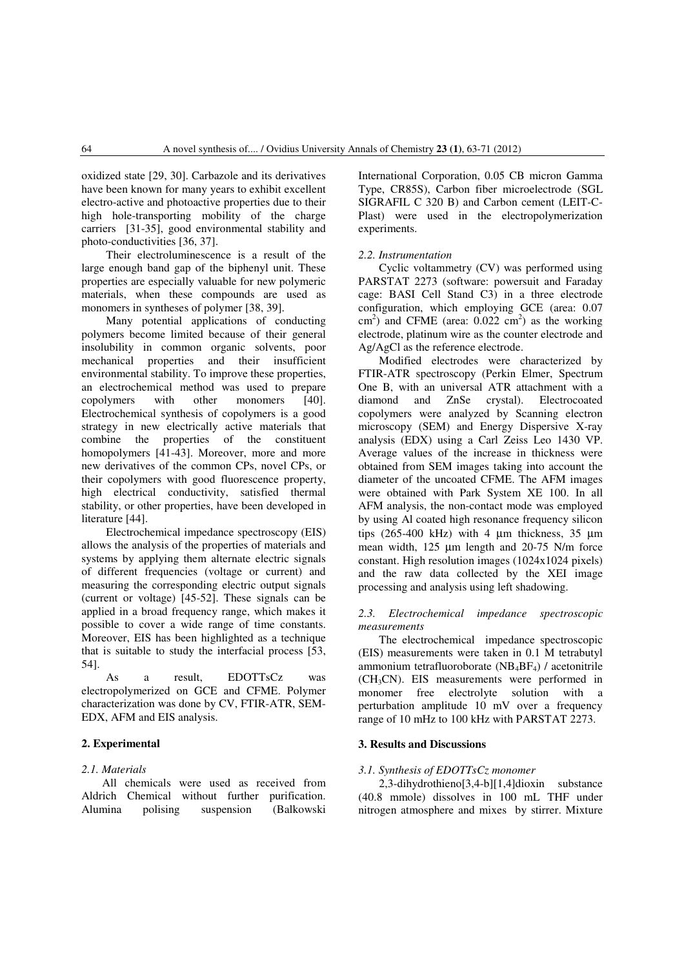oxidized state [29, 30]. Carbazole and its derivatives have been known for many years to exhibit excellent electro-active and photoactive properties due to their high hole-transporting mobility of the charge carriers [31-35], good environmental stability and photo-conductivities [36, 37].

Their electroluminescence is a result of the large enough band gap of the biphenyl unit. These properties are especially valuable for new polymeric materials, when these compounds are used as monomers in syntheses of polymer [38, 39].

 Many potential applications of conducting polymers become limited because of their general insolubility in common organic solvents, poor mechanical properties and their insufficient environmental stability. To improve these properties, an electrochemical method was used to prepare copolymers with other monomers [40]. Electrochemical synthesis of copolymers is a good strategy in new electrically active materials that combine the properties of the constituent homopolymers [41-43]. Moreover, more and more new derivatives of the common CPs, novel CPs, or their copolymers with good fluorescence property, high electrical conductivity, satisfied thermal stability, or other properties, have been developed in literature [44].

 Electrochemical impedance spectroscopy (EIS) allows the analysis of the properties of materials and systems by applying them alternate electric signals of different frequencies (voltage or current) and measuring the corresponding electric output signals (current or voltage) [45-52]. These signals can be applied in a broad frequency range, which makes it possible to cover a wide range of time constants. Moreover, EIS has been highlighted as a technique that is suitable to study the interfacial process [53, 54].

 As a result, EDOTTsCz was electropolymerized on GCE and CFME. Polymer characterization was done by CV, FTIR-ATR, SEM-EDX, AFM and EIS analysis.

## **2. Experimental**

#### *2.1. Materials*

All chemicals were used as received from Aldrich Chemical without further purification. Alumina polising suspension (Balkowski

International Corporation, 0.05 CB micron Gamma Type, CR85S), Carbon fiber microelectrode (SGL SIGRAFIL C 320 B) and Carbon cement (LEIT-C-Plast) were used in the electropolymerization experiments.

#### *2.2. Instrumentation*

 Cyclic voltammetry (CV) was performed using PARSTAT 2273 (software: powersuit and Faraday cage: BASI Cell Stand C3) in a three electrode configuration, which employing GCE (area: 0.07  $\text{cm}^2$ ) and CFME (area: 0.022 cm<sup>2</sup>) as the working electrode, platinum wire as the counter electrode and Ag/AgCl as the reference electrode.

 Modified electrodes were characterized by FTIR-ATR spectroscopy (Perkin Elmer, Spectrum One B, with an universal ATR attachment with a diamond and ZnSe crystal). Electrocoated copolymers were analyzed by Scanning electron microscopy (SEM) and Energy Dispersive X-ray analysis (EDX) using a Carl Zeiss Leo 1430 VP. Average values of the increase in thickness were obtained from SEM images taking into account the diameter of the uncoated CFME. The AFM images were obtained with Park System XE 100. In all AFM analysis, the non-contact mode was employed by using Al coated high resonance frequency silicon tips (265-400 kHz) with 4 µm thickness, 35 µm mean width, 125 µm length and 20-75 N/m force constant. High resolution images (1024x1024 pixels) and the raw data collected by the XEI image processing and analysis using left shadowing.

## *2.3. Electrochemical impedance spectroscopic measurements*

 The electrochemical impedance spectroscopic (EIS) measurements were taken in 0.1 M tetrabutyl ammonium tetrafluoroborate  $(NB_4BF_4)$  / acetonitrile (CH3CN). EIS measurements were performed in monomer free electrolyte solution with a perturbation amplitude 10 mV over a frequency range of 10 mHz to 100 kHz with PARSTAT 2273.

#### **3. Results and Discussions**

#### *3.1. Synthesis of EDOTTsCz monomer*

 2,3-dihydrothieno[3,4-b][1,4]dioxin substance (40.8 mmole) dissolves in 100 mL THF under nitrogen atmosphere and mixes by stirrer. Mixture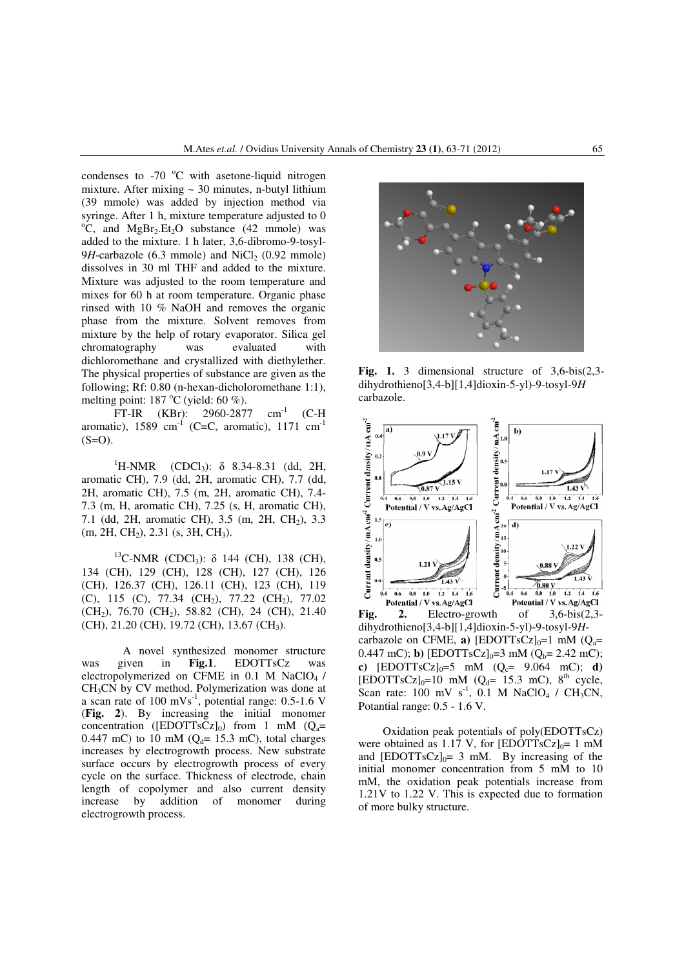condenses to  $-70$  °C with asetone-liquid nitrogen mixture. After mixing  $\sim$  30 minutes, n-butyl lithium (39 mmole) was added by injection method via syringe. After 1 h, mixture temperature adjusted to 0  $^{\circ}$ C, and MgBr<sub>2</sub>.Et<sub>2</sub>O substance (42 mmole) was added to the mixture. 1 h later, 3,6-dibromo-9-tosyl- $9H$ -carbazole (6.3 mmole) and NiCl<sub>2</sub> (0.92 mmole) dissolves in 30 ml THF and added to the mixture. Mixture was adjusted to the room temperature and mixes for 60 h at room temperature. Organic phase rinsed with 10 % NaOH and removes the organic phase from the mixture. Solvent removes from mixture by the help of rotary evaporator. Silica gel chromatography was evaluated with dichloromethane and crystallized with diethylether. The physical properties of substance are given as the following; Rf: 0.80 (n-hexan-dicholoromethane 1:1), melting point:  $187 \degree C$  (yield: 60 %).

FT-IR (KBr): 2960-2877 cm<sup>-1</sup> (C-H) aromatic), 1589 cm<sup>-1</sup> (C=C, aromatic), 1171 cm<sup>-1</sup>  $(S=O)$ .

<sup>1</sup>H-NMR (CDCl<sub>3</sub>): δ 8.34-8.31 (dd, 2H, aromatic CH), 7.9 (dd, 2H, aromatic CH), 7.7 (dd, 2H, aromatic CH), 7.5 (m, 2H, aromatic CH), 7.4- 7.3 (m, H, aromatic CH), 7.25 (s, H, aromatic CH), 7.1 (dd, 2H, aromatic CH), 3.5 (m, 2H, CH<sub>2</sub>), 3.3  $(m, 2H, CH<sub>2</sub>), 2.31$  (s, 3H, CH<sub>3</sub>).

<sup>13</sup>C-NMR (CDCl<sub>3</sub>): δ 144 (CH), 138 (CH), 134 (CH), 129 (CH), 128 (CH), 127 (CH), 126 (CH), 126.37 (CH), 126.11 (CH), 123 (CH), 119 (C), 115 (C), 77.34 (CH<sub>2</sub>), 77.22 (CH<sub>2</sub>), 77.02  $(CH_2)$ , 76.70  $(CH_2)$ , 58.82  $(CH)$ , 24  $(CH)$ , 21.40 (CH), 21.20 (CH), 19.72 (CH), 13.67 (CH<sub>3</sub>).

A novel synthesized monomer structure was given in **Fig.1**. EDOTTsCz was electropolymerized on CFME in  $0.1$  M NaClO<sub>4</sub> / CH3CN by CV method. Polymerization was done at a scan rate of  $100 \text{ mVs}^{-1}$ , potential range: 0.5-1.6 V (**Fig. 2**). By increasing the initial monomer concentration ( $[EDOTTsCz]_0$ ) from 1 mM ( $Q_a=$ 0.447 mC) to 10 mM ( $O_d$ = 15.3 mC), total charges increases by electrogrowth process. New substrate surface occurs by electrogrowth process of every cycle on the surface. Thickness of electrode, chain length of copolymer and also current density increase by addition of monomer during electrogrowth process.



**Fig. 1.** 3 dimensional structure of 3,6-bis(2,3 dihydrothieno[3,4-b][1,4]dioxin-5-yl)-9-tosyl-9*H* carbazole.



dihydrothieno[3,4-b][1,4]dioxin-5-yl)-9-tosyl-9*H*carbazole on CFME, **a**)  $[EDOTTsCz]_0=1$  mM  $(Q_a=$ 0.447 mC); **b**)  $[EDOTTsCz]_0 = 3$  mM  $(Q_b = 2.42$  mC); **c**)  $[EDOTTsCz]_0 = 5$  mM  $(Q_c = 9.064$  mC); **d**)  $[EDOTTSCz]_0=10$  mM  $(Q_d= 15.3$  mC),  $8<sup>th</sup>$  cycle, Scan rate: 100 mV  $s^{-1}$ , 0.1 M NaClO<sub>4</sub> / CH<sub>3</sub>CN, Potantial range: 0.5 - 1.6 V.

 Oxidation peak potentials of poly(EDOTTsCz) were obtained as 1.17 V, for  $[EDOTTsCz]_0 = 1$  mM and  $[EDOTTSCz]_{0} = 3$  mM. By increasing of the initial monomer concentration from 5 mM to 10 mM, the oxidation peak potentials increase from 1.21V to 1.22 V. This is expected due to formation of more bulky structure.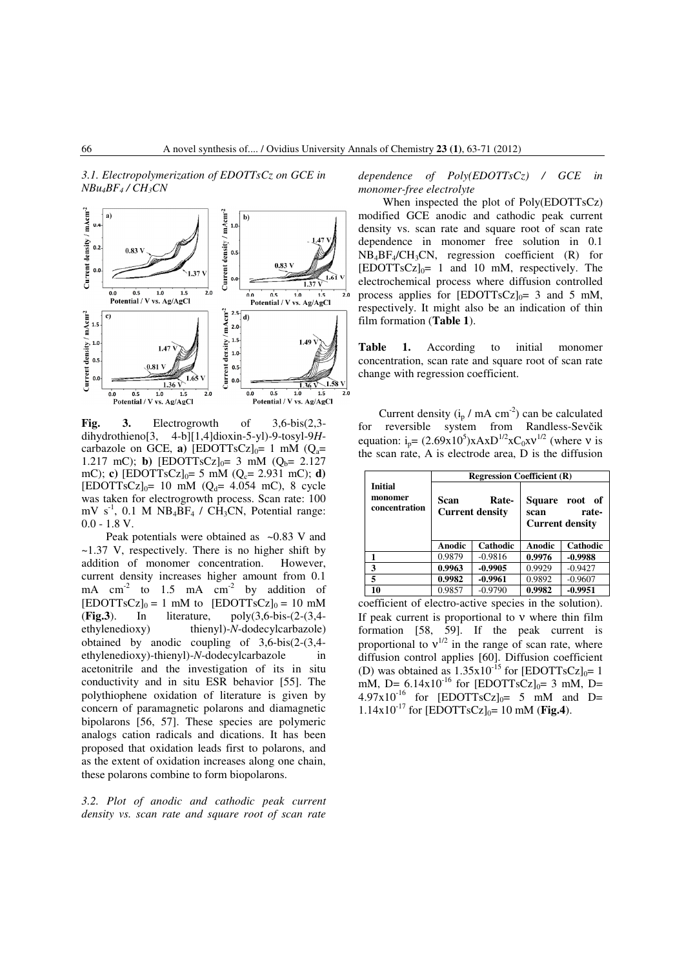*3.1. Electropolymerization of EDOTTsCz on GCE in NBu4BF4 / CH3CN* 



**Fig. 3.** Electrogrowth of 3,6-bis(2,3 dihydrothieno[3, 4-b][1,4]dioxin-5-yl)-9-tosyl-9*H*carbazole on GCE, **a**) [EDOTTsCz] $_0$ = 1 mM ( $Q_a$ = 1.217 mC); **b**)  $[EDOTTsCz]_0 = 3$  mM  $(O_b = 2.127)$ mC); **c**)  $[EDOTTsCz]_0 = 5$  mM  $(O_c = 2.931$  mC); **d**)  $[EDOTTSCz]_{0} = 10$  mM  $(Q_{d} = 4.054$  mC), 8 cycle was taken for electrogrowth process. Scan rate: 100  $mV s^{-1}$ , 0.1 M NB<sub>4</sub>BF<sub>4</sub> / CH<sub>3</sub>CN, Potential range: 0.0 - 1.8 V.

Peak potentials were obtained as  $\sim 0.83$  V and ~1.37 V, respectively. There is no higher shift by addition of monomer concentration. However, current density increases higher amount from 0.1 mA  $cm<sup>-2</sup>$  to 1.5 mA  $cm<sup>-2</sup>$  by addition of  $[EDOTTsCz]_0 = 1$  mM to  $[EDOTTsCz]_0 = 10$  mM (**Fig.3**). In literature, poly(3,6-bis-(2-(3,4 ethylenedioxy) thienyl)-*N*-dodecylcarbazole) obtained by anodic coupling of 3,6-bis(2-(3,4 ethylenedioxy)-thienyl)-*N*-dodecylcarbazole in acetonitrile and the investigation of its in situ conductivity and in situ ESR behavior [55]. The polythiophene oxidation of literature is given by concern of paramagnetic polarons and diamagnetic bipolarons [56, 57]. These species are polymeric analogs cation radicals and dications. It has been proposed that oxidation leads first to polarons, and as the extent of oxidation increases along one chain, these polarons combine to form biopolarons.

*3.2. Plot of anodic and cathodic peak current density vs. scan rate and square root of scan rate*  *dependence of Poly(EDOTTsCz) / GCE in monomer-free electrolyte* 

 When inspected the plot of Poly(EDOTTsCz) modified GCE anodic and cathodic peak current density vs. scan rate and square root of scan rate dependence in monomer free solution in 0.1  $NB_4BF_4/CH_3CN$ , regression coefficient (R) for  $[EDOTTSCz]_{0}$  = 1 and 10 mM, respectively. The electrochemical process where diffusion controlled process applies for  $[EDOTTsCz]_0 = 3$  and 5 mM, respectively. It might also be an indication of thin film formation (**Table 1**).

**Table 1.** According to initial monomer concentration, scan rate and square root of scan rate change with regression coefficient.

Current density  $(i_p / mA cm^{-2})$  can be calculated for reversible system from Randless-Sevčik equation:  $i_p = (2.69 \times 10^5) \times A \times D^{1/2} \times C_0 \times V^{1/2}$  (where v is the scan rate, A is electrode area, D is the diffusion

|                                            | <b>Regression Coefficient (R)</b>       |           |                     |                                         |
|--------------------------------------------|-----------------------------------------|-----------|---------------------|-----------------------------------------|
| <b>Initial</b><br>monomer<br>concentration | Scan<br>Rate-<br><b>Current density</b> |           | Square root<br>scan | - of<br>rate-<br><b>Current density</b> |
|                                            | <b>Anodic</b>                           | Cathodic  | <b>Anodic</b>       | Cathodic                                |
|                                            | 0.9879                                  | $-0.9816$ | 0.9976              | $-0.9988$                               |
| 3                                          | 0.9963                                  | $-0.9905$ | 0.9929              | $-0.9427$                               |
| 5                                          | 0.9982                                  | $-0.9961$ | 0.9892              | $-0.9607$                               |
| 10                                         | 0.9857                                  | $-0.9790$ | 0.9982              | $-0.9951$                               |

coefficient of electro-active species in the solution). If peak current is proportional to ν where thin film formation [58, 59]. If the peak current is proportional to  $v^{1/2}$  in the range of scan rate, where diffusion control applies [60]. Diffusion coefficient (D) was obtained as  $1.35 \times 10^{-15}$  for [EDOTTsCz]<sub>0</sub>= 1 mM, D=  $6.14x10^{-16}$  for [EDOTTsCz]<sub>0</sub>= 3 mM, D=  $4.97x10^{-16}$  for  $[EDOTTsCz]_0 = 5$  mM and D=  $1.14x10^{-17}$  for [EDOTTsCz]<sub>0</sub>= 10 mM (**Fig.4**).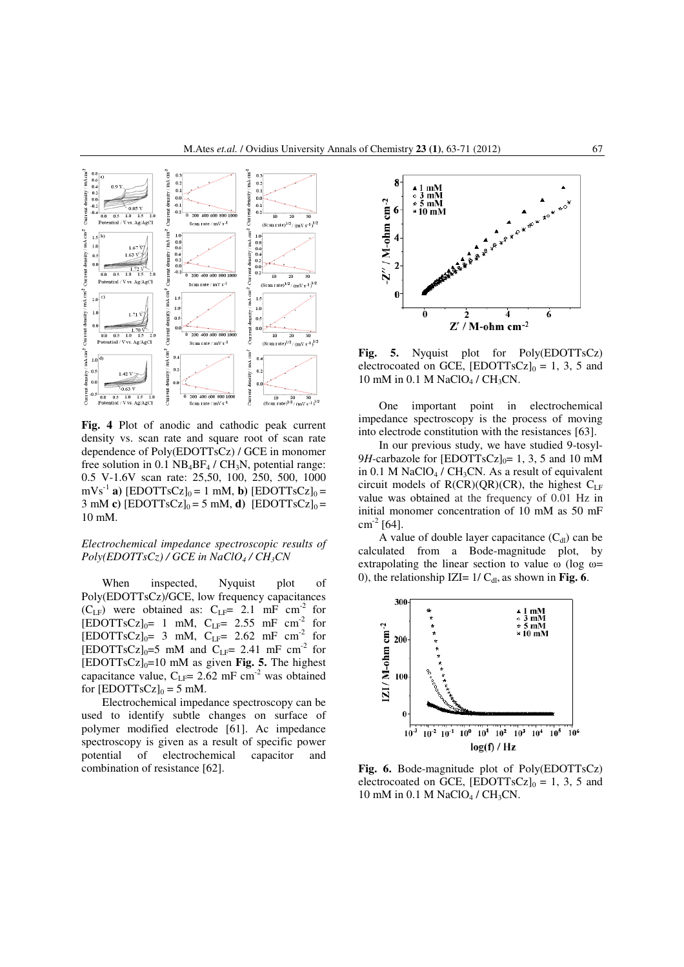

**Fig. 4** Plot of anodic and cathodic peak current density vs. scan rate and square root of scan rate dependence of Poly(EDOTTsCz) / GCE in monomer free solution in 0.1  $NB_4BF_4 / CH_3N$ , potential range: 0.5 V-1.6V scan rate: 25,50, 100, 250, 500, 1000  $\text{mVs}^{-1}$  **a**) [EDOTTsCz]<sub>0</sub> = 1 mM, **b**) [EDOTTsCz]<sub>0</sub> = 3 mM **c**)  $[EDOTTsCz]_0 = 5$  mM, **d**)  $[EDOTTsCz]_0 =$ 10 mM.

#### *Electrochemical impedance spectroscopic results of*   $Poly(EDOTTsCz) / GCE$  in  $NaClO<sub>4</sub> / CH<sub>3</sub>CN$

When inspected, Nyquist plot of Poly(EDOTTsCz)/GCE, low frequency capacitances  $(C_{LF})$  were obtained as:  $C_{LF}$ = 2.1 mF cm<sup>-2</sup> for  $[EDOTTsCz]_0= 1$  mM,  $C_{LF} = 2.55$  mF cm<sup>-2</sup> for  $[EDOTTSCz]_{0}$ = 3 mM,  $C_{LF}$ = 2.62 mF cm<sup>-2</sup> for  $[EDOTTsCz]_0=5$  mM and  $C_{LF} = 2.41$  mF cm<sup>-2</sup> for  $[EDOTTsCz]_0=10$  mM as given **Fig. 5.** The highest capacitance value,  $C_{LF}$ = 2.62 mF cm<sup>-2</sup> was obtained for  $[EDOTTsCz]_0 = 5$  mM.

Electrochemical impedance spectroscopy can be used to identify subtle changes on surface of polymer modified electrode [61]. Ac impedance spectroscopy is given as a result of specific power potential of electrochemical capacitor and combination of resistance [62].



**Fig. 5.** Nyquist plot for Poly(EDOTTsCz) electrocoated on GCE,  $[EDOTTsCz]_0 = 1, 3, 5$  and 10 mM in 0.1 M NaClO<sub>4</sub> / CH<sub>3</sub>CN.

One important point in electrochemical impedance spectroscopy is the process of moving into electrode constitution with the resistances [63].

In our previous study, we have studied 9-tosyl-9*H*-carbazole for [EDOTTsCz] $<sub>0</sub>= 1, 3, 5$  and 10 mM</sub> in 0.1 M NaClO<sub>4</sub> / CH<sub>3</sub>CN. As a result of equivalent circuit models of  $R(CR)(QR)(CR)$ , the highest  $C_{LF}$ value was obtained at the frequency of 0.01 Hz in initial monomer concentration of 10 mM as 50 mF  $cm^{-2}$  [64].

A value of double layer capacitance  $(C_{d})$  can be calculated from a Bode-magnitude plot, by extrapolating the linear section to value  $\omega$  (log  $\omega=$ 0), the relationship IZI=  $1/C<sub>dl</sub>$ , as shown in **Fig. 6**.



**Fig. 6.** Bode-magnitude plot of Poly(EDOTTsCz) electrocoated on GCE,  $[EDOTTsCz]_0 = 1, 3, 5$  and 10 mM in 0.1 M NaClO<sub>4</sub> / CH<sub>3</sub>CN.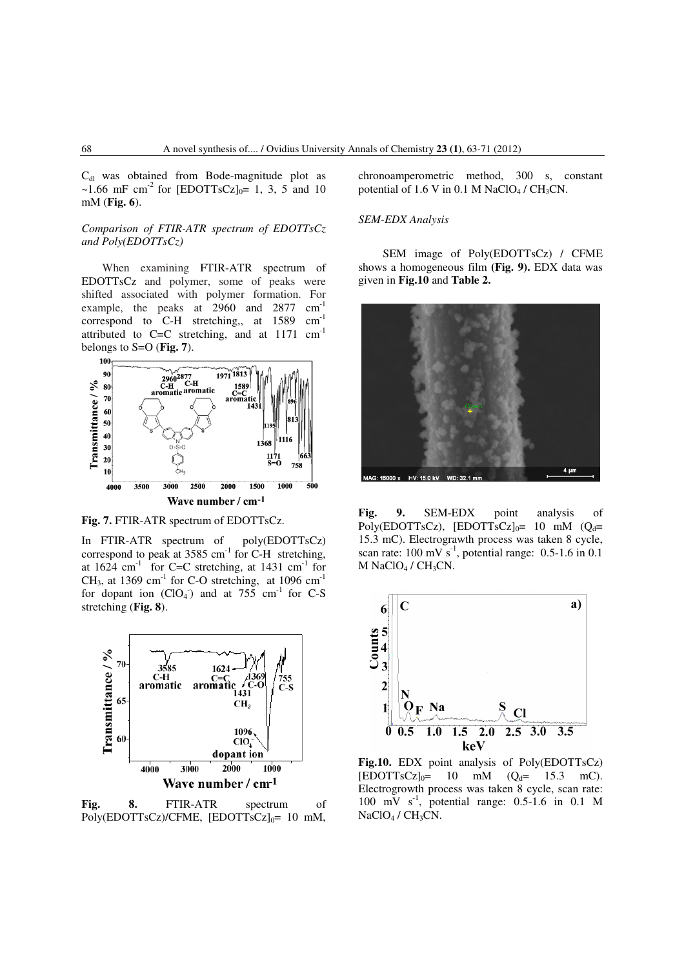$C<sub>dl</sub>$  was obtained from Bode-magnitude plot as ~1.66 mF cm<sup>-2</sup> for [EDOTTsCz]<sub>0</sub>= 1, 3, 5 and 10 mM (**Fig. 6**).

## *Comparison of FTIR-ATR spectrum of EDOTTsCz and Poly(EDOTTsCz)*

When examining FTIR-ATR spectrum of EDOTTsCz and polymer, some of peaks were shifted associated with polymer formation. For example, the peaks at 2960 and 2877 cm-1 correspond to C-H stretching,, at 1589 cm<sup>-1</sup> attributed to  $C=C$  stretching, and at 1171  $cm^{-1}$ belongs to S=O (**Fig. 7**).



**Fig. 7.** FTIR-ATR spectrum of EDOTTsCz.

In FTIR-ATR spectrum of poly(EDOTTsCz) correspond to peak at  $3585 \text{ cm}^{-1}$  for C-H stretching, at  $1624$  cm<sup>-1</sup> for C=C stretching, at  $1431$  cm<sup>-1</sup> for  $CH<sub>3</sub>$ , at 1369 cm<sup>-1</sup> for C-O stretching, at 1096 cm<sup>-1</sup> for dopant ion  $(CIO<sub>4</sub>)$  and at 755 cm<sup>-1</sup> for C-S stretching (**Fig. 8**).



**Fig. 8.** FTIR-ATR spectrum of Poly(EDOTTsCz)/CFME,  $[EDOTTsCz]_0 = 10$  mM,

chronoamperometric method, 300 s, constant potential of 1.6 V in 0.1 M NaClO<sub>4</sub> / CH<sub>3</sub>CN.

## *SEM-EDX Analysis*

 SEM image of Poly(EDOTTsCz) / CFME shows a homogeneous film **(Fig. 9).** EDX data was given in **Fig.10** and **Table 2.** 



**Fig. 9.** SEM-EDX point analysis of Poly(EDOTTsCz), [EDOTTsCz] $_0$ = 10 mM (Q<sub>d</sub>= 15.3 mC). Electrograwth process was taken 8 cycle, scan rate:  $100 \text{ mV s}^{-1}$ , potential range: 0.5-1.6 in 0.1 M NaClO<sub>4</sub> / CH<sub>3</sub>CN.



**Fig.10.** EDX point analysis of Poly(EDOTTsCz)  $[EDOTTSCz]_{0} = 10$  mM  $(Q_{d} = 15.3$  mC). Electrogrowth process was taken 8 cycle, scan rate: 100 mV  $s^{-1}$ , potential range: 0.5-1.6 in 0.1 M NaClO<sub>4</sub> / CH<sub>3</sub>CN.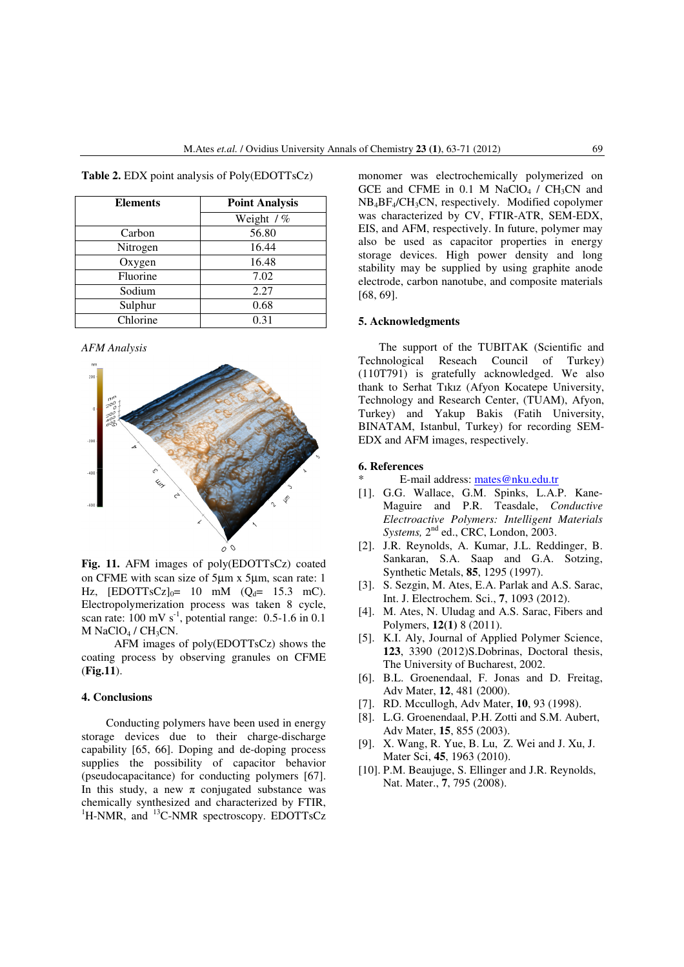| <b>Elements</b> | <b>Point Analysis</b> |  |  |
|-----------------|-----------------------|--|--|
|                 | Weight / %            |  |  |
| Carbon          | 56.80                 |  |  |
| Nitrogen        | 16.44                 |  |  |
| Oxygen          | 16.48                 |  |  |
| Fluorine        | 7.02                  |  |  |
| Sodium          | 2.27                  |  |  |
| Sulphur         | 0.68                  |  |  |
| Chlorine        | 0.31                  |  |  |

**Table 2.** EDX point analysis of Poly(EDOTTsCz)

*AFM Analysis* 



**Fig. 11.** AFM images of poly(EDOTTsCz) coated on CFME with scan size of 5µm x 5µm, scan rate: 1 Hz,  $[EDOTTSCz]_{0} = 10$  mM  $(Q_{d} = 15.3$  mC). Electropolymerization process was taken 8 cycle, scan rate:  $100 \text{ mV s}^{-1}$ , potential range: 0.5-1.6 in 0.1 M NaClO<sub>4</sub> / CH<sub>3</sub>CN.

 AFM images of poly(EDOTTsCz) shows the coating process by observing granules on CFME (**Fig.11**).

## **4. Conclusions**

 Conducting polymers have been used in energy storage devices due to their charge-discharge capability [65, 66]. Doping and de-doping process supplies the possibility of capacitor behavior (pseudocapacitance) for conducting polymers [67]. In this study, a new  $\pi$  conjugated substance was chemically synthesized and characterized by FTIR,  ${}^{1}$ H-NMR, and  ${}^{13}$ C-NMR spectroscopy. EDOTTsCz monomer was electrochemically polymerized on GCE and CFME in  $0.1$  M NaClO<sub>4</sub> / CH<sub>3</sub>CN and NB4BF4/CH3CN, respectively. Modified copolymer was characterized by CV, FTIR-ATR, SEM-EDX, EIS, and AFM, respectively. In future, polymer may also be used as capacitor properties in energy storage devices. High power density and long stability may be supplied by using graphite anode electrode, carbon nanotube, and composite materials [68, 69].

#### **5. Acknowledgments**

The support of the TUBITAK (Scientific and Technological Reseach Council of Turkey) (110T791) is gratefully acknowledged. We also thank to Serhat Tıkız (Afyon Kocatepe University, Technology and Research Center, (TUAM), Afyon, Turkey) and Yakup Bakis (Fatih University, BINATAM, Istanbul, Turkey) for recording SEM-EDX and AFM images, respectively.

#### **6. References**

- E-mail address: mates@nku.edu.tr
- [1]. G.G. Wallace, G.M. Spinks, L.A.P. Kane-Maguire and P.R. Teasdale, *Conductive Electroactive Polymers: Intelligent Materials Systems,* 2<sup>nd</sup> ed., CRC, London, 2003.
- [2]. J.R. Reynolds, A. Kumar, J.L. Reddinger, B. Sankaran, S.A. Saap and G.A. Sotzing, Synthetic Metals, **85**, 1295 (1997).
- [3]. S. Sezgin, M. Ates, E.A. Parlak and A.S. Sarac, Int. J. Electrochem. Sci., **7**, 1093 (2012).
- [4]. M. Ates, N. Uludag and A.S. Sarac, Fibers and Polymers, **12(1)** 8 (2011).
- [5]. K.I. Aly, Journal of Applied Polymer Science, **123**, 3390 (2012)S.Dobrinas, Doctoral thesis, The University of Bucharest, 2002.
- [6]. B.L. Groenendaal, F. Jonas and D. Freitag, Adv Mater, **12**, 481 (2000).
- [7]. RD. Mccullogh, Adv Mater, **10**, 93 (1998).
- [8]. L.G. Groenendaal, P.H. Zotti and S.M. Aubert, Adv Mater, **15**, 855 (2003).
- [9]. X. Wang, R. Yue, B. Lu, Z. Wei and J. Xu, J. Mater Sci, **45**, 1963 (2010).
- [10]. P.M. Beaujuge, S. Ellinger and J.R. Reynolds, Nat. Mater., **7**, 795 (2008).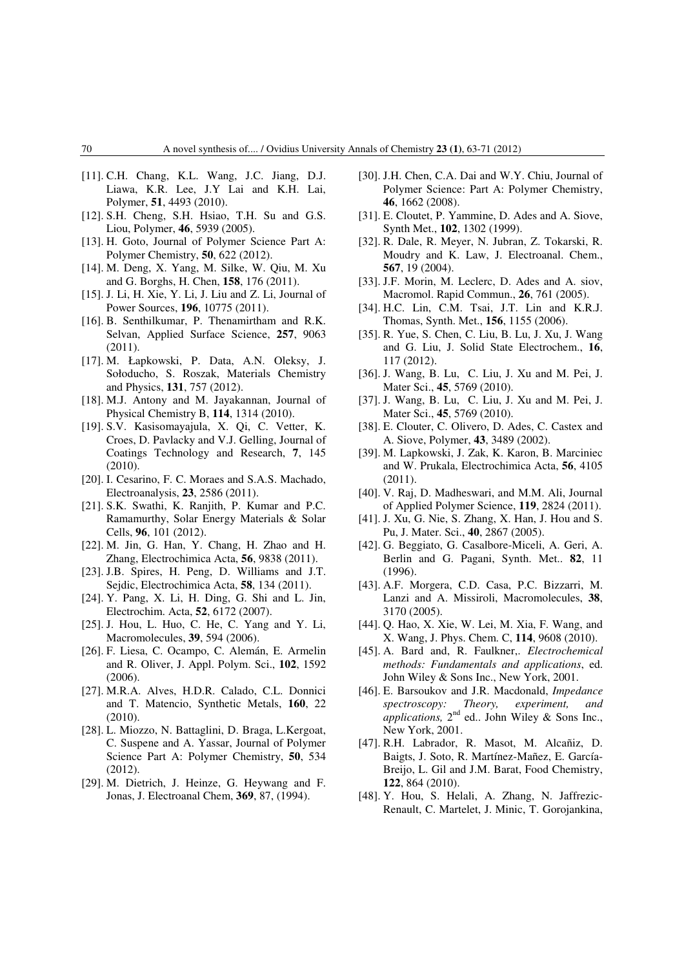- [11]. C.H. Chang, K.L. Wang, J.C. Jiang, D.J. Liawa, K.R. Lee, J.Y Lai and K.H. Lai, Polymer, **51**, 4493 (2010).
- [12]. S.H. Cheng, S.H. Hsiao, T.H. Su and G.S. Liou, Polymer, **46**, 5939 (2005).
- [13]. H. Goto, Journal of Polymer Science Part A: Polymer Chemistry, **50**, 622 (2012).
- [14]. M. Deng, X. Yang, M. Silke, W. Qiu, M. Xu and G. Borghs, H. Chen, **158**, 176 (2011).
- [15]. J. Li, H. Xie, Y. Li, J. Liu and Z. Li, Journal of Power Sources, **196**, 10775 (2011).
- [16]. B. Senthilkumar, P. Thenamirtham and R.K. Selvan, Applied Surface Science, **257**, 9063  $(2011).$
- [17]. M. Łapkowski, P. Data, A.N. Oleksy, J. Sołoducho, S. Roszak, Materials Chemistry and Physics, **131**, 757 (2012).
- [18]. M.J. Antony and M. Jayakannan, Journal of Physical Chemistry B, **114**, 1314 (2010).
- [19]. S.V. Kasisomayajula, X. Qi, C. Vetter, K. Croes, D. Pavlacky and V.J. Gelling, Journal of Coatings Technology and Research, **7**, 145 (2010).
- [20]. I. Cesarino, F. C. Moraes and S.A.S. Machado, Electroanalysis, **23**, 2586 (2011).
- [21]. S.K. Swathi, K. Ranjith, P. Kumar and P.C. Ramamurthy, Solar Energy Materials & Solar Cells, **96**, 101 (2012).
- [22]. M. Jin, G. Han, Y. Chang, H. Zhao and H. Zhang, Electrochimica Acta, **56**, 9838 (2011).
- [23]. J.B. Spires, H. Peng, D. Williams and J.T. Sejdic, Electrochimica Acta, **58**, 134 (2011).
- [24]. Y. Pang, X. Li, H. Ding, G. Shi and L. Jin, Electrochim. Acta, **52**, 6172 (2007).
- [25]. J. Hou, L. Huo, C. He, C. Yang and Y. Li, Macromolecules, **39**, 594 (2006).
- [26]. F. Liesa, C. Ocampo, C. Alemán, E. Armelin and R. Oliver, J. Appl. Polym. Sci., **102**, 1592 (2006).
- [27]. M.R.A. Alves, H.D.R. Calado, C.L. Donnici and T. Matencio, Synthetic Metals, **160**, 22 (2010).
- [28]. L. Miozzo, N. Battaglini, D. Braga, L.Kergoat, C. Suspene and A. Yassar, Journal of Polymer Science Part A: Polymer Chemistry, **50**, 534 (2012).
- [29]. M. Dietrich, J. Heinze, G. Heywang and F. Jonas, J. Electroanal Chem, **369**, 87, (1994).
- [30]. J.H. Chen, C.A. Dai and W.Y. Chiu, Journal of Polymer Science: Part A: Polymer Chemistry, **46**, 1662 (2008).
- [31]. E. Cloutet, P. Yammine, D. Ades and A. Siove, Synth Met., **102**, 1302 (1999).
- [32]. R. Dale, R. Meyer, N. Jubran, Z. Tokarski, R. Moudry and K. Law, J. Electroanal. Chem., **567**, 19 (2004).
- [33]. J.F. Morin, M. Leclerc, D. Ades and A. siov, Macromol. Rapid Commun., **26**, 761 (2005).
- [34]. H.C. Lin, C.M. Tsai, J.T. Lin and K.R.J. Thomas, Synth. Met., **156**, 1155 (2006).
- [35]. R. Yue, S. Chen, C. Liu, B. Lu, J. Xu, J. Wang and G. Liu, J. Solid State Electrochem., **16**, 117 (2012).
- [36]. J. Wang, B. Lu, C. Liu, J. Xu and M. Pei, J. Mater Sci., **45**, 5769 (2010).
- [37]. J. Wang, B. Lu, C. Liu, J. Xu and M. Pei, J. Mater Sci., **45**, 5769 (2010).
- [38]. E. Clouter, C. Olivero, D. Ades, C. Castex and A. Siove, Polymer, **43**, 3489 (2002).
- [39]. M. Lapkowski, J. Zak, K. Karon, B. Marciniec and W. Prukala, Electrochimica Acta, **56**, 4105 (2011).
- [40]. V. Raj, D. Madheswari, and M.M. Ali, Journal of Applied Polymer Science, **119**, 2824 (2011).
- [41]. J. Xu, G. Nie, S. Zhang, X. Han, J. Hou and S. Pu, J. Mater. Sci., **40**, 2867 (2005).
- [42]. G. Beggiato, G. Casalbore-Miceli, A. Geri, A. Berlin and G. Pagani, Synth. Met.. **82**, 11 (1996).
- [43]. A.F. Morgera, C.D. Casa, P.C. Bizzarri, M. Lanzi and A. Missiroli, Macromolecules, **38**, 3170 (2005).
- [44]. Q. Hao, X. Xie, W. Lei, M. Xia, F. Wang, and X. Wang, J. Phys. Chem. C, **114**, 9608 (2010).
- [45]. A. Bard and, R. Faulkner,. *Electrochemical methods: Fundamentals and applications*, ed. John Wiley & Sons Inc., New York, 2001.
- [46]. E. Barsoukov and J.R. Macdonald, *Impedance spectroscopy: Theory, experiment, and*  applications, 2<sup>nd</sup> ed.. John Wiley & Sons Inc., New York, 2001.
- [47]. R.H. Labrador, R. Masot, M. Alcañiz, D. Baigts, J. Soto, R. Martínez-Mañez, E. García-Breijo, L. Gil and J.M. Barat, Food Chemistry, **122**, 864 (2010).
- [48]. Y. Hou, S. Helali, A. Zhang, N. Jaffrezic-Renault, C. Martelet, J. Minic, T. Gorojankina,